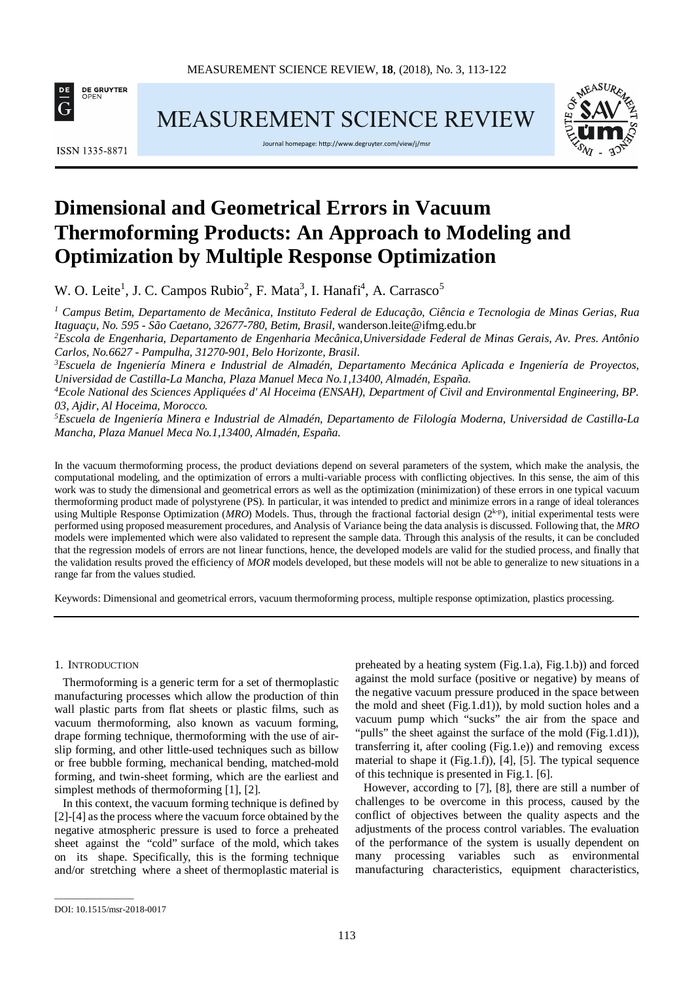

MEASUREMENT SCIENCE REVIEW



Journal homepage[: http://www.degruyter.com/view/j/msr](http://www.degruyter.com/view/j/msr)



# **Dimensional and Geometrical Errors in Vacuum Thermoforming Products: An Approach to Modeling and Optimization by Multiple Response Optimization**

W. O. Leite<sup>1</sup>, J. C. Campos Rubio<sup>2</sup>, F. Mata<sup>3</sup>, I. Hanafi<sup>4</sup>, A. Carrasco<sup>5</sup>

*<sup>1</sup> Campus Betim, Departamento de Mecânica, Instituto Federal de Educação, Ciência e Tecnologia de Minas Gerias, Rua Itaguaçu, No. 595 - São Caetano, 32677-780, Betim, Brasil,* [wanderson.leite@ifmg.edu.br](mailto:wanderson.leite@ifmg.edu.br)

*2 Escola de Engenharia, Departamento de Engenharia Mecânica,Universidade Federal de Minas Gerais, Av. Pres. Antônio Carlos, No.6627 - Pampulha, 31270-901, Belo Horizonte, Brasil. 3*

*Escuela de Ingeniería Minera e Industrial de Almadén, Departamento Mecánica Aplicada e Ingeniería de Proyectos, Universidad de Castilla-La Mancha, Plaza Manuel Meca No.1,13400, Almadén, España. 4*

*Ecole National des Sciences Appliquées d' Al Hoceima (ENSAH), Department of Civil and Environmental Engineering, BP. 03, Ajdir, Al Hoceima, Morocco.* 

*5 Escuela de Ingeniería Minera e Industrial de Almadén, Departamento de Filología Moderna, Universidad de Castilla-La Mancha, Plaza Manuel Meca No.1,13400, Almadén, España.* 

In the vacuum thermoforming process, the product deviations depend on several parameters of the system, which make the analysis, the computational modeling, and the optimization of errors a multi-variable process with conflicting objectives. In this sense, the aim of this work was to study the dimensional and geometrical errors as well as the optimization (minimization) of these errors in one typical vacuum thermoforming product made of polystyrene (PS). In particular, it was intended to predict and minimize errors in a range of ideal tolerances using Multiple Response Optimization (*MRO*) Models. Thus, through the fractional factorial design  $(2^{k-p})$ , initial experimental tests were performed using proposed measurement procedures, and Analysis of Variance being the data analysis is discussed. Following that, the *MRO* models were implemented which were also validated to represent the sample data. Through this analysis of the results, it can be concluded that the regression models of errors are not linear functions, hence, the developed models are valid for the studied process, and finally that the validation results proved the efficiency of *MOR* models developed, but these models will not be able to generalize to new situations in a range far from the values studied.

Keywords: Dimensional and geometrical errors, vacuum thermoforming process, multiple response optimization, plastics processing.

#### 1. INTRODUCTION

Thermoforming is a generic term for a set of thermoplastic manufacturing processes which allow the production of thin wall plastic parts from flat sheets or plastic films, such as vacuum thermoforming, also known as vacuum forming, drape forming technique, thermoforming with the use of airslip forming, and other little-used techniques such as billow or free bubble forming, mechanical bending, matched-mold forming, and twin-sheet forming, which are the earliest and simplest methods of thermoforming [1], [2].

In this context, the vacuum forming technique is defined by [2]-[4] as the process where the vacuum force obtained by the negative atmospheric pressure is used to force a preheated sheet against the "cold" surface of the mold, which takes on its shape. Specifically, this is the forming technique and/or stretching where a sheet of thermoplastic material is

preheated by a heating system (Fig.1.a), Fig.1.b)) and forced against the mold surface (positive or negative) by means of the negative vacuum pressure produced in the space between the mold and sheet (Fig.1.d1)), by mold suction holes and a vacuum pump which "sucks" the air from the space and "pulls" the sheet against the surface of the mold (Fig.1.d1)), transferring it, after cooling (Fig.1.e)) and removing excess material to shape it (Fig.1.f)), [4], [5]. The typical sequence of this technique is presented in Fig.1. [6].

However, according to [7], [8], there are still a number of challenges to be overcome in this process, caused by the conflict of objectives between the quality aspects and the adjustments of the process control variables. The evaluation of the performance of the system is usually dependent on many processing variables such as environmental manufacturing characteristics, equipment characteristics,

\_\_\_\_\_\_\_\_\_\_\_\_\_\_\_\_\_

DOI: 10.1515/msr-2018-0017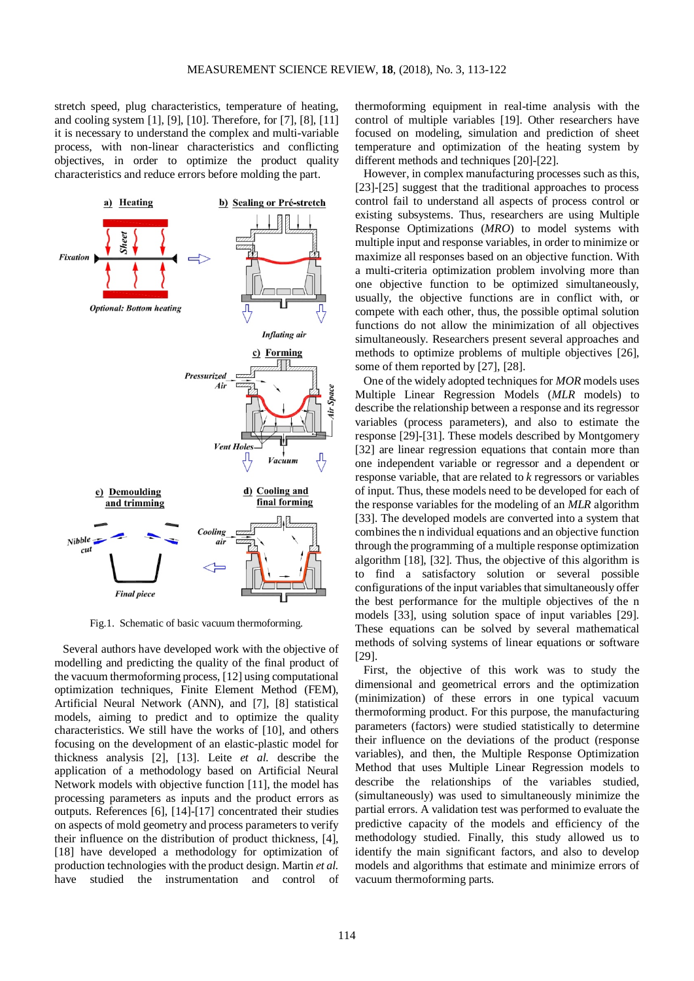stretch speed, plug characteristics, temperature of heating, and cooling system [1], [9], [10]. Therefore, for [7], [8], [11] it is necessary to understand the complex and multi-variable process, with non-linear characteristics and conflicting objectives, in order to optimize the product quality characteristics and reduce errors before molding the part.



Fig.1. Schematic of basic vacuum thermoforming.

Several authors have developed work with the objective of modelling and predicting the quality of the final product of the vacuum thermoforming process, [12] using computational optimization techniques, Finite Element Method (FEM), Artificial Neural Network (ANN), and [7], [8] statistical models, aiming to predict and to optimize the quality characteristics. We still have the works of [10], and others focusing on the development of an elastic-plastic model for thickness analysis [2], [13]. Leite *et al.* describe the application of a methodology based on Artificial Neural Network models with objective function [11], the model has processing parameters as inputs and the product errors as outputs. References [6], [14]-[17] concentrated their studies on aspects of mold geometry and process parameters to verify their influence on the distribution of product thickness, [4], [18] have developed a methodology for optimization of production technologies with the product design. Martin *et al.* have studied the instrumentation and control of thermoforming equipment in real-time analysis with the control of multiple variables [19]. Other researchers have focused on modeling, simulation and prediction of sheet temperature and optimization of the heating system by different methods and techniques [20]-[22].

However, in complex manufacturing processes such as this, [23]-[25] suggest that the traditional approaches to process control fail to understand all aspects of process control or existing subsystems. Thus, researchers are using Multiple Response Optimizations (*MRO*) to model systems with multiple input and response variables, in order to minimize or maximize all responses based on an objective function. With a multi-criteria optimization problem involving more than one objective function to be optimized simultaneously, usually, the objective functions are in conflict with, or compete with each other, thus, the possible optimal solution functions do not allow the minimization of all objectives simultaneously. Researchers present several approaches and methods to optimize problems of multiple objectives [26], some of them reported by [27], [28].

One of the widely adopted techniques for *MOR* models uses Multiple Linear Regression Models (*MLR* models) to describe the relationship between a response and its regressor variables (process parameters), and also to estimate the response [29]-[31]. These models described by Montgomery [32] are linear regression equations that contain more than one independent variable or regressor and a dependent or response variable, that are related to *k* regressors or variables of input. Thus, these models need to be developed for each of the response variables for the modeling of an *MLR* algorithm [33]. The developed models are converted into a system that combines the n individual equations and an objective function through the programming of a multiple response optimization algorithm [18], [32]. Thus, the objective of this algorithm is to find a satisfactory solution or several possible configurations of the input variables that simultaneously offer the best performance for the multiple objectives of the n models [33], using solution space of input variables [29]. These equations can be solved by several mathematical methods of solving systems of linear equations or software [29].

First, the objective of this work was to study the dimensional and geometrical errors and the optimization (minimization) of these errors in one typical vacuum thermoforming product. For this purpose, the manufacturing parameters (factors) were studied statistically to determine their influence on the deviations of the product (response variables), and then, the Multiple Response Optimization Method that uses Multiple Linear Regression models to describe the relationships of the variables studied, (simultaneously) was used to simultaneously minimize the partial errors. A validation test was performed to evaluate the predictive capacity of the models and efficiency of the methodology studied. Finally, this study allowed us to identify the main significant factors, and also to develop models and algorithms that estimate and minimize errors of vacuum thermoforming parts.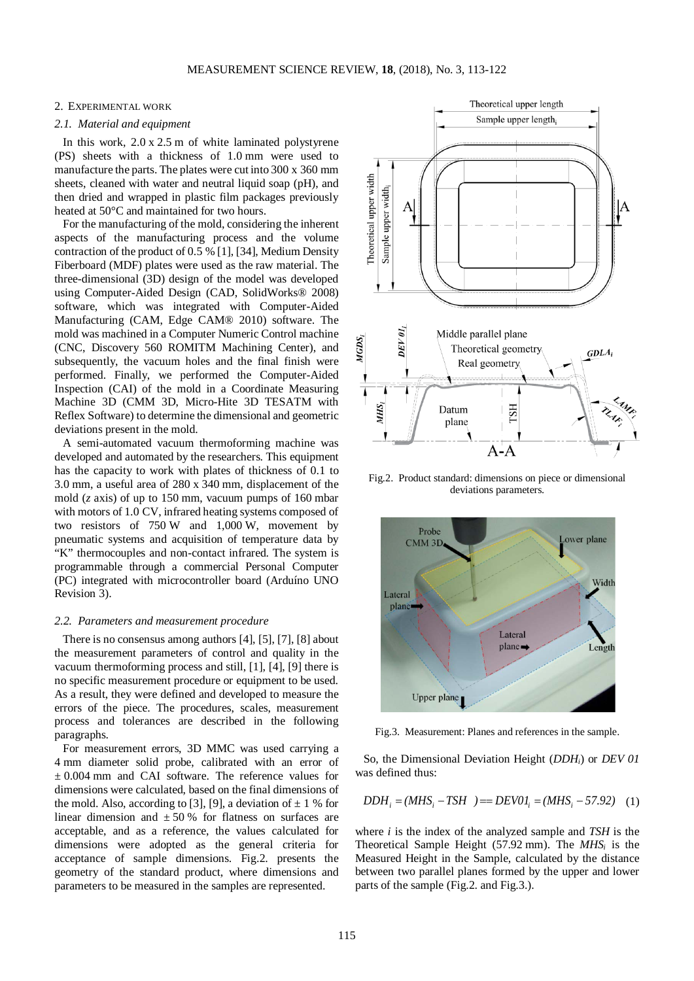#### 2. EXPERIMENTAL WORK

## *2.1. Material and equipment*

In this work, 2.0 x 2.5 m of white laminated polystyrene (PS) sheets with a thickness of 1.0 mm were used to manufacture the parts. The plates were cut into 300 x 360 mm sheets, cleaned with water and neutral liquid soap (pH), and then dried and wrapped in plastic film packages previously heated at 50°C and maintained for two hours.

For the manufacturing of the mold, considering the inherent aspects of the manufacturing process and the volume contraction of the product of 0.5 % [1], [34], Medium Density Fiberboard (MDF) plates were used as the raw material. The three-dimensional (3D) design of the model was developed using Computer-Aided Design (CAD, SolidWorks® 2008) software, which was integrated with Computer-Aided Manufacturing (CAM, Edge CAM® 2010) software. The mold was machined in a Computer Numeric Control machine (CNC, Discovery 560 ROMITM Machining Center), and subsequently, the vacuum holes and the final finish were performed. Finally, we performed the Computer-Aided Inspection (CAI) of the mold in a Coordinate Measuring Machine 3D (CMM 3D, Micro-Hite 3D TESATM with Reflex Software) to determine the dimensional and geometric deviations present in the mold.

A semi-automated vacuum thermoforming machine was developed and automated by the researchers. This equipment has the capacity to work with plates of thickness of 0.1 to 3.0 mm, a useful area of 280 x 340 mm, displacement of the mold (*z* axis) of up to 150 mm, vacuum pumps of 160 mbar with motors of 1.0 CV, infrared heating systems composed of two resistors of 750 W and 1,000 W, movement by pneumatic systems and acquisition of temperature data by "K" thermocouples and non-contact infrared. The system is programmable through a commercial Personal Computer (PC) integrated with microcontroller board (Arduíno UNO Revision 3).

## *2.2. Parameters and measurement procedure*

There is no consensus among authors [4], [5], [7], [8] about the measurement parameters of control and quality in the vacuum thermoforming process and still, [1], [4], [9] there is no specific measurement procedure or equipment to be used. As a result, they were defined and developed to measure the errors of the piece. The procedures, scales, measurement process and tolerances are described in the following paragraphs.

For measurement errors, 3D MMC was used carrying a 4 mm diameter solid probe, calibrated with an error of  $\pm$  0.004 mm and CAI software. The reference values for dimensions were calculated, based on the final dimensions of the mold. Also, according to [3], [9], a deviation of  $\pm$  1 % for linear dimension and  $\pm 50\%$  for flatness on surfaces are acceptable, and as a reference, the values calculated for dimensions were adopted as the general criteria for acceptance of sample dimensions. Fig.2. presents the geometry of the standard product, where dimensions and parameters to be measured in the samples are represented.



Fig.2. Product standard: dimensions on piece or dimensional deviations parameters.



Fig.3. Measurement: Planes and references in the sample.

So, the Dimensional Deviation Height (*DDHi*) or *DEV 01* was defined thus:

$$
DDH_i = (MHS_i - TSH) == DEVOI_i = (MHS_i - 57.92) \quad (1)
$$

where *i* is the index of the analyzed sample and *TSH* is the Theoretical Sample Height (57.92 mm). The *MHSi* is the Measured Height in the Sample, calculated by the distance between two parallel planes formed by the upper and lower parts of the sample (Fig.2. and Fig.3.).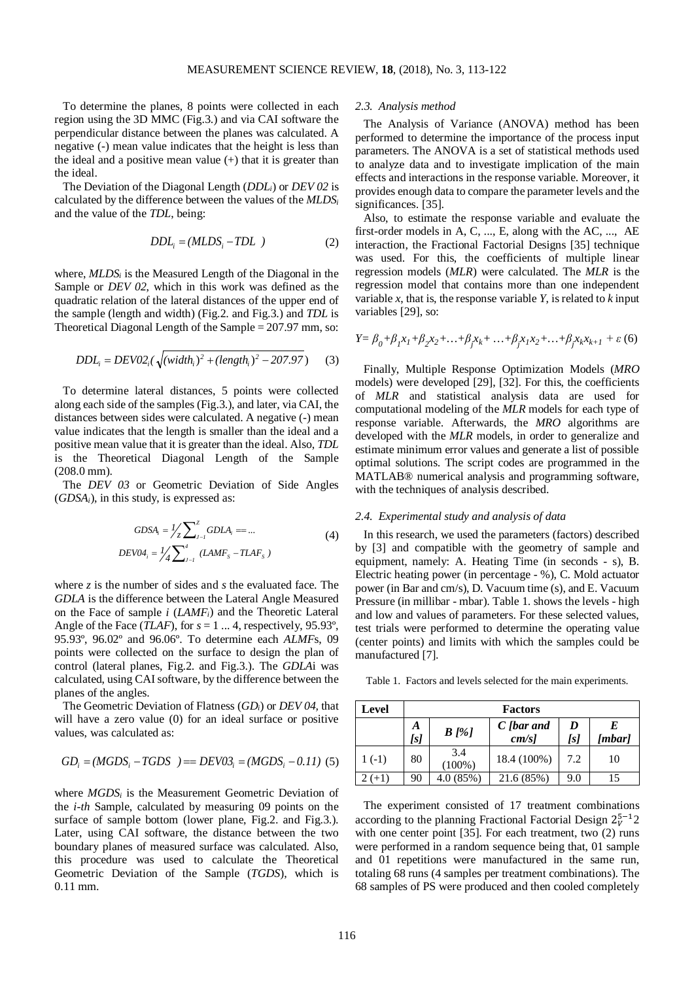To determine the planes, 8 points were collected in each region using the 3D MMC (Fig.3.) and via CAI software the perpendicular distance between the planes was calculated. A negative (-) mean value indicates that the height is less than the ideal and a positive mean value (+) that it is greater than the ideal.

The Deviation of the Diagonal Length (*DDLi*) or *DEV 02* is calculated by the difference between the values of the *MLDSi* and the value of the *TDL*, being:

$$
DDL_i = (MLDS_i - TDL) \tag{2}
$$

where,  $MLDS_i$  is the Measured Length of the Diagonal in the Sample or *DEV 02*, which in this work was defined as the quadratic relation of the lateral distances of the upper end of the sample (length and width) (Fig.2. and Fig.3.) and *TDL* is Theoretical Diagonal Length of the Sample = 207.97 mm, so:

$$
DDL_i = DEVO2_i(\sqrt{(width_i)^2 + (length_i)^2 - 207.97})
$$
 (3)

To determine lateral distances, 5 points were collected along each side of the samples (Fig.3.), and later, via CAI, the distances between sides were calculated. A negative (-) mean value indicates that the length is smaller than the ideal and a positive mean value that it is greater than the ideal. Also, *TDL* is the Theoretical Diagonal Length of the Sample (208.0 mm).

The *DEV 03* or Geometric Deviation of Side Angles (*GDSAi*), in this study, is expressed as:

$$
GDSA_i = \frac{1}{2} \sum_{j=1}^{2} GDLA_i = ...
$$
  
DEVO4<sub>i</sub> =  $\frac{1}{4} \sum_{j=1}^{4} (LAMF_s - TLAF_s)$  (4)

where *z* is the number of sides and *s* the evaluated face. The *GDLA* is the difference between the Lateral Angle Measured on the Face of sample *i* (*LAMFi*) and the Theoretic Lateral Angle of the Face  $(TLAF)$ , for  $s = 1 \dots 4$ , respectively, 95.93°, 95.93º, 96.02º and 96.06º. To determine each *ALMF*s, 09 points were collected on the surface to design the plan of control (lateral planes, Fig.2. and Fig.3.). The *GDLA*i was calculated, using CAI software, by the difference between the planes of the angles.

The Geometric Deviation of Flatness (*GDi*) or *DEV 04,* that will have a zero value (0) for an ideal surface or positive values, was calculated as:

$$
GD_i = (MGDS_i - TGDS) == DEVO3_i = (MGDS_i - 0.11)
$$
 (5)

where *MGDS<sub>i</sub>* is the Measurement Geometric Deviation of the *i-th* Sample, calculated by measuring 09 points on the surface of sample bottom (lower plane, Fig.2. and Fig.3.). Later, using CAI software, the distance between the two boundary planes of measured surface was calculated. Also, this procedure was used to calculate the Theoretical Geometric Deviation of the Sample (*TGDS*), which is 0.11 mm.

#### *2.3. Analysis method*

The Analysis of Variance (ANOVA) method has been performed to determine the importance of the process input parameters. The ANOVA is a set of statistical methods used to analyze data and to investigate implication of the main effects and interactions in the response variable. Moreover, it provides enough data to compare the parameter levels and the significances. [35].

Also, to estimate the response variable and evaluate the first-order models in A, C, ..., E, along with the AC, ..., AE interaction, the Fractional Factorial Designs [35] technique was used. For this, the coefficients of multiple linear regression models (*MLR*) were calculated. The *MLR* is the regression model that contains more than one independent variable *x*, that is, the response variable *Y*, is related to *k* input variables [29], so:

$$
Y = \beta_0 + \beta_1 x_1 + \beta_2 x_2 + \dots + \beta_j x_k + \dots + \beta_j x_1 x_2 + \dots + \beta_j x_k x_{k+1} + \varepsilon (6)
$$

Finally, Multiple Response Optimization Models (*MRO* models) were developed [29], [32]. For this, the coefficients of *MLR* and statistical analysis data are used for computational modeling of the *MLR* models for each type of response variable. Afterwards, the *MRO* algorithms are developed with the *MLR* models, in order to generalize and estimate minimum error values and generate a list of possible optimal solutions. The script codes are programmed in the MATLAB® numerical analysis and programming software, with the techniques of analysis described.

## *2.4. Experimental study and analysis of data*

In this research, we used the parameters (factors) described by [3] and compatible with the geometry of sample and equipment, namely: A. Heating Time (in seconds - s), B. Electric heating power (in percentage - %), C. Mold actuator power (in Bar and cm/s), D. Vacuum time (s), and E. Vacuum Pressure (in millibar - mbar). Table 1. shows the levels - high and low and values of parameters. For these selected values, test trials were performed to determine the operating value (center points) and limits with which the samples could be manufactured [7].

Table 1. Factors and levels selected for the main experiments.

| Level   |          | <b>Factors</b>   |                          |          |             |  |  |
|---------|----------|------------------|--------------------------|----------|-------------|--|--|
|         | A<br>[s] | B/[%]            | $C$ [bar and<br>$cm/s$ ] | D<br>[s] | E<br>[mbar] |  |  |
| $1(-1)$ | 80       | 3.4<br>$(100\%)$ | 18.4 (100%)              | 7.2      | 10          |  |  |
| $2(+1)$ | 90       | 4.0 (85%)        | 21.6 (85%)               | 9.0      | 15          |  |  |

The experiment consisted of 17 treatment combinations according to the planning Fractional Factorial Design  $2_V^{5-1}$ 2 with one center point [35]. For each treatment, two (2) runs were performed in a random sequence being that, 01 sample and 01 repetitions were manufactured in the same run, totaling 68 runs (4 samples per treatment combinations). The 68 samples of PS were produced and then cooled completely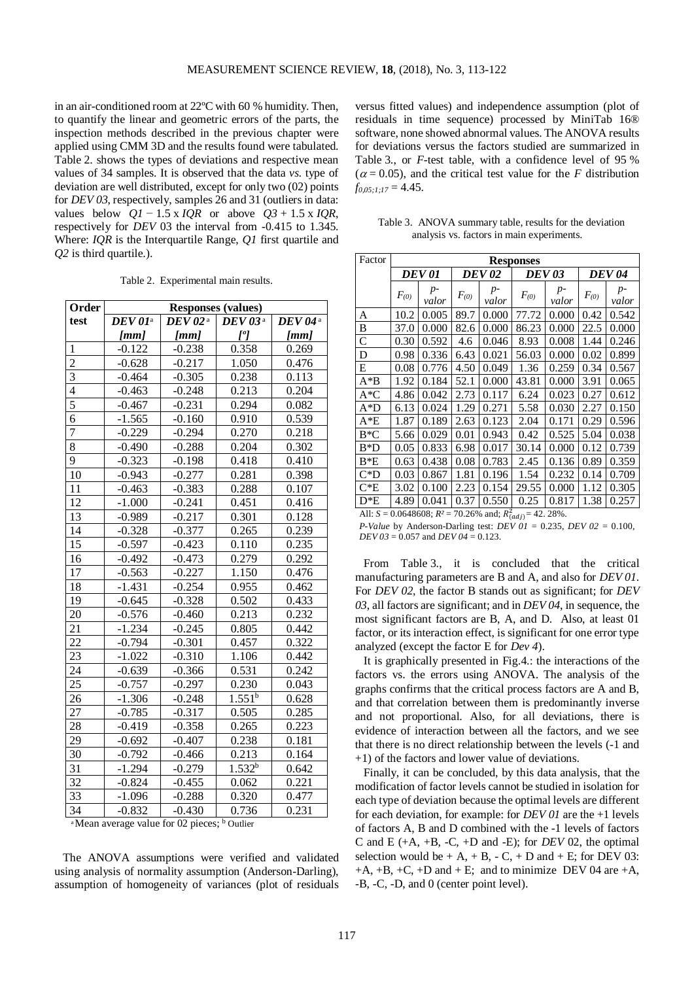in an air-conditioned room at 22ºC with 60 % humidity. Then, to quantify the linear and geometric errors of the parts, the inspection methods described in the previous chapter were applied using CMM 3D and the results found were tabulated. Table 2. shows the types of deviations and respective mean values of 34 samples. It is observed that the data *vs.* type of deviation are well distributed, except for only two (02) points for *DEV 03*, respectively, samples 26 and 31 (outliers in data: values below  $QI - 1.5 \times IQR$  or above  $Q3 + 1.5 \times IQR$ , respectively for *DEV* 03 the interval from -0.415 to 1.345. Where: *IQR* is the Interquartile Range, *Q1* first quartile and *Q2* is third quartile.).

Table 2. Experimental main results.

| Order           | <b>Responses (values)</b> |                     |                |                       |  |  |
|-----------------|---------------------------|---------------------|----------------|-----------------------|--|--|
| test            | $DEV01$ <sup>a</sup>      | $DEV$ 02 $^{\rm a}$ | $DEV$ 03 $a$   | $DEV$ 04 $\mathrm{a}$ |  |  |
|                 | $\lceil mm \rceil$        | [mm]                | $\int_{0}^{0}$ | [mm]                  |  |  |
| $\mathbf{1}$    | $-0.122$                  | $-0.238$            | 0.358          | 0.269                 |  |  |
| $\overline{2}$  | $-0.628$                  | $-0.217$            | 1.050          | 0.476                 |  |  |
| $\overline{3}$  | $-0.464$                  | $-0.305$            | 0.238          | 0.113                 |  |  |
| $\overline{4}$  | $-0.463$                  | $-0.248$            | 0.213          | 0.204                 |  |  |
| 5               | $-0.467$                  | $-0.231$            | 0.294          | 0.082                 |  |  |
| 6               | $-1.565$                  | $-0.160$            | 0.910          | 0.539                 |  |  |
| 7               | $-0.229$                  | $-0.294$            | 0.270          | 0.218                 |  |  |
| 8               | $-0.490$                  | $-0.288$            | 0.204          | 0.302                 |  |  |
| 9               | $-0.323$                  | $-0.198$            | 0.418          | 0.410                 |  |  |
| 10              | $-0.943$                  | $-0.277$            | 0.281          | 0.398                 |  |  |
| 11              | $-0.463$                  | $-0.383$            | 0.288          | 0.107                 |  |  |
| 12              | $-1.000$                  | $-0.241$            | 0.451          | 0.416                 |  |  |
| 13              | $-0.989$                  | $-0.217$            | 0.301          | 0.128                 |  |  |
| 14              | $-0.328$                  | $-0.377$            | 0.265          | 0.239                 |  |  |
| 15              | $-0.597$                  | $-0.423$            | 0.110          | 0.235                 |  |  |
| 16              | $-0.492$                  | $-0.473$            | 0.279          | 0.292                 |  |  |
| 17              | $-0.563$                  | $-0.227$            | 1.150          | 0.476                 |  |  |
| 18              | $-1.431$                  | $-0.254$            | 0.955          | 0.462                 |  |  |
| 19              | $-0.645$                  | $-0.328$            | 0.502          | 0.433                 |  |  |
| 20              | $-0.576$                  | $-0.460$            | 0.213          | 0.232                 |  |  |
| 21              | $-1.234$                  | $-0.245$            | 0.805          | 0.442                 |  |  |
| $\overline{22}$ | $-0.794$                  | $-0.301$            | 0.457          | 0.322                 |  |  |
| 23              | $-1.022$                  | $-0.310$            | 1.106          | 0.442                 |  |  |
| 24              | $-0.639$                  | $-0.366$            | 0.531          | 0.242                 |  |  |
| 25              | $-0.757$                  | $-0.297$            | 0.230          | 0.043                 |  |  |
| 26              | $-1.306$                  | $-0.248$            | $1.551^{b}$    | 0.628                 |  |  |
| 27              | $-0.785$                  | $-0.317$            | 0.505          | 0.285                 |  |  |
| 28              | $-0.419$                  | $-0.358$            | 0.265          | 0.223                 |  |  |
| 29              | $-0.692$                  | $-0.407$            | 0.238          | 0.181                 |  |  |
| 30              | $-0.792$                  | $-0.466$            | 0.213          | 0.164                 |  |  |
| 31              | $-1.294$                  | $-0.279$            | $1.532^{b}$    | 0.642                 |  |  |
| $\overline{32}$ | $-0.824$                  | $-0.455$            | 0.062          | 0.221                 |  |  |
| $\overline{33}$ | $-1.096$                  | $-0.288$            | 0.320          | 0.477                 |  |  |
| 34              | $-0.832$                  | $-0.430$            | 0.736          | 0.231                 |  |  |

<sup>a</sup>Mean average value for 02 pieces;  $<sup>b</sup>$  Outlier</sup>

The ANOVA assumptions were verified and validated using analysis of normality assumption (Anderson-Darling), assumption of homogeneity of variances (plot of residuals

versus fitted values) and independence assumption (plot of residuals in time sequence) processed by MiniTab 16® software, none showed abnormal values. The ANOVA results for deviations versus the factors studied are summarized in Table 3., or *F*-test table, with a confidence level of 95 %  $(\alpha = 0.05)$ , and the critical test value for the *F* distribution  $f_{0.05;1;17} = 4.45.$ 

Table 3. ANOVA summary table, results for the deviation analysis vs. factors in main experiments.

| Factor       | <b>Responses</b> |                                                                       |                      |               |               |               |               |               |
|--------------|------------------|-----------------------------------------------------------------------|----------------------|---------------|---------------|---------------|---------------|---------------|
|              |                  | <i>DEV 01</i>                                                         | <i><b>DEV 02</b></i> |               | <b>DEV</b> 03 |               | <b>DEV 04</b> |               |
|              | $F_{(0)}$        | $p-$<br>valor                                                         | $F_{(0)}$            | $p-$<br>valor | $F_{(0)}$     | $p-$<br>valor | $F_{(0)}$     | $p-$<br>valor |
| A            | 10.2             | 0.005                                                                 | 89.7                 | 0.000         | 77.72         | 0.000         | 0.42          | 0.542         |
| В            | 37.0             | 0.000                                                                 | 82.6                 | 0.000         | 86.23         | 0.000         | 22.5          | 0.000         |
| $\mathsf{C}$ | 0.30             | 0.592                                                                 | 4.6                  | 0.046         | 8.93          | 0.008         | 1.44          | 0.246         |
| D            | 0.98             | 0.336                                                                 | 6.43                 | 0.021         | 56.03         | 0.000         | 0.02          | 0.899         |
| E            | 0.08             | 0.776                                                                 | 4.50                 | 0.049         | 1.36          | 0.259         | 0.34          | 0.567         |
| $A^*B$       | 1.92             | 0.184                                                                 | 52.1                 | 0.000         | 43.81         | 0.000         | 3.91          | 0.065         |
| A*C          | 4.86             | 0.042                                                                 | 2.73                 | 0.117         | 6.24          | 0.023         | 0.27          | 0.612         |
| A*D          | 6.13             | 0.024                                                                 | 1.29                 | 0.271         | 5.58          | 0.030         | 2.27          | 0.150         |
| A*E          | 1.87             | 0.189                                                                 | 2.63                 | 0.123         | 2.04          | 0.171         | 0.29          | 0.596         |
| B*C          | 5.66             | 0.029                                                                 | 0.01                 | 0.943         | 0.42          | 0.525         | 5.04          | 0.038         |
| B*D          | 0.05             | 0.833                                                                 | 6.98                 | 0.017         | 30.14         | 0.000         | 0.12          | 0.739         |
| $B*E$        | 0.63             | 0.438                                                                 | 0.08                 | 0.783         | 2.45          | 0.136         | 0.89          | 0.359         |
| $C^*D$       | 0.03             | 0.867                                                                 | 1.81                 | 0.196         | 1.54          | 0.232         | 0.14          | 0.709         |
| $C*E$        | 3.02             | 0.100                                                                 | 2.23                 | 0.154         | 29.55         | 0.000         | 1.12          | 0.305         |
| $D*E$        | 4.89             | 0.041                                                                 | 0.37                 | 0.550         | 0.25          | 0.817         | 1.38          | 0.257         |
|              |                  | All: $S = 0.0648608$ , $R^2 = 70.26\%$ and; $R^2_{(adj)} = 42.28\%$ . |                      |               |               |               |               |               |

*P-Value* by Anderson-Darling test: *DEV 01* = 0.235, *DEV 02* = 0.100, *DEV 03* = 0.057 and *DEV 04* = 0.123.

From Table 3., it is concluded that the critical manufacturing parameters are B and A, and also for *DEV 01*. For *DEV 02*, the factor B stands out as significant; for *DEV 03*, all factors are significant; and in *DEV 04*, in sequence, the most significant factors are B, A, and D. Also, at least 01 factor, or its interaction effect, is significant for one error type analyzed (except the factor E for *Dev 4*).

It is graphically presented in Fig.4.: the interactions of the factors vs. the errors using ANOVA. The analysis of the graphs confirms that the critical process factors are A and B, and that correlation between them is predominantly inverse and not proportional. Also, for all deviations, there is evidence of interaction between all the factors, and we see that there is no direct relationship between the levels (-1 and +1) of the factors and lower value of deviations.

Finally, it can be concluded, by this data analysis, that the modification of factor levels cannot be studied in isolation for each type of deviation because the optimal levels are different for each deviation, for example: for *DEV 01* are the +1 levels of factors A, B and D combined with the -1 levels of factors C and E (+A, +B, -C, +D and -E); for *DEV* 02, the optimal selection would be  $+A$ ,  $+B$ ,  $-C$ ,  $+D$  and  $+E$ ; for DEV 03:  $+A, +B, +C, +D$  and  $+E$ ; and to minimize DEV 04 are  $+A$ , -B, -C, -D, and 0 (center point level).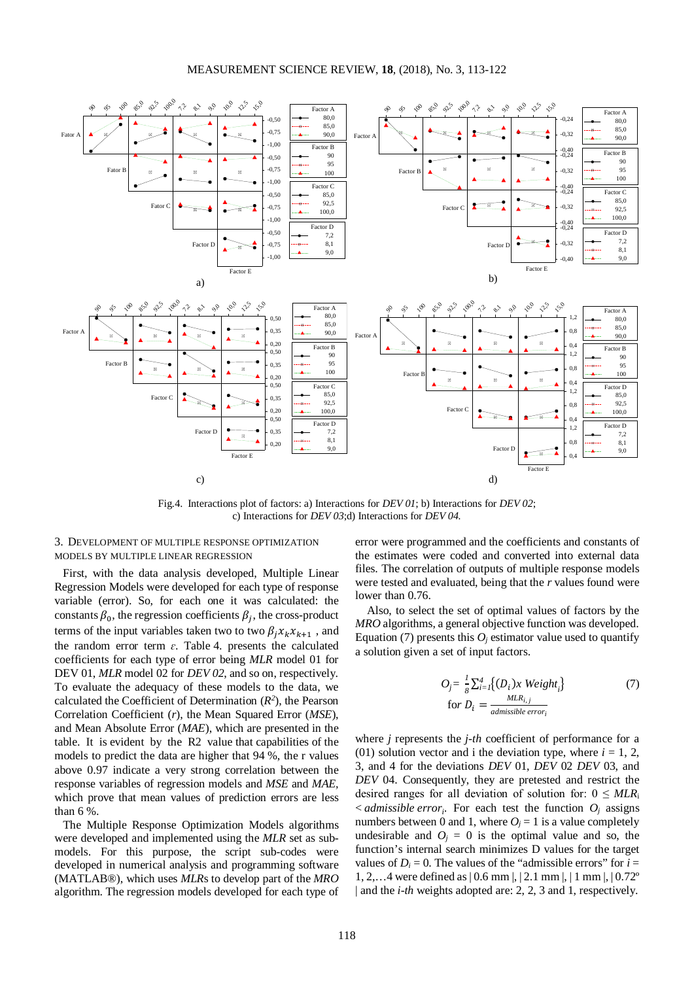## MEASUREMENT SCIENCE REVIEW, **18**, (2018), No. 3, 113-122



Fig.4. Interactions plot of factors: a) Interactions for *DEV 01*; b) Interactions for *DEV 02*; c) Interactions for *DEV 03*;d) Interactions for *DEV 04.*

## 3. DEVELOPMENT OF MULTIPLE RESPONSE OPTIMIZATION MODELS BY MULTIPLE LINEAR REGRESSION

First, with the data analysis developed, Multiple Linear Regression Models were developed for each type of response variable (error). So, for each one it was calculated: the constants  $\beta_0$ , the regression coefficients  $\beta_i$ , the cross-product terms of the input variables taken two to two  $\beta_j x_k x_{k+1}$ , and the random error term  $\varepsilon$ . Table 4. presents the calculated coefficients for each type of error being *MLR* model 01 for DEV 01, *MLR* model 02 for *DEV 02*, and so on, respectively. To evaluate the adequacy of these models to the data, we calculated the Coefficient of Determination  $(R^2)$ , the Pearson Correlation Coefficient (*r*), the Mean Squared Error (*MSE*), and Mean Absolute Error (*MAE*), which are presented in the table. It is evident by the R2 value that capabilities of the models to predict the data are higher that 94 %, the r values above 0.97 indicate a very strong correlation between the response variables of regression models and *MSE* and *MAE,* which prove that mean values of prediction errors are less than 6 %.

The Multiple Response Optimization Models algorithms were developed and implemented using the *MLR* set as submodels. For this purpose, the script sub-codes were developed in numerical analysis and programming software (MATLAB®), which uses *MLR*s to develop part of the *MRO* algorithm. The regression models developed for each type of error were programmed and the coefficients and constants of the estimates were coded and converted into external data files. The correlation of outputs of multiple response models were tested and evaluated, being that the *r* values found were lower than 0.76.

Also, to select the set of optimal values of factors by the *MRO* algorithms, a general objective function was developed. Equation (7) presents this  $O_i$  estimator value used to quantify a solution given a set of input factors.

$$
O_j = \frac{1}{8} \sum_{i=1}^{4} \{ (D_i) x \; Weight_i \}
$$
  
for  $D_i = \frac{MLR_{i,j}}{admissible error_i}$  (7)

where *j* represents the *j-th* coefficient of performance for a (01) solution vector and i the deviation type, where  $i = 1, 2,$ 3, and 4 for the deviations *DEV* 01, *DEV* 02 *DEV* 03, and *DEV* 04. Consequently, they are pretested and restrict the desired ranges for all deviation of solution for:  $0 \leq MLR$  $\langle$  *admissible error<sub>i</sub>*. For each test the function  $O_j$  assigns numbers between 0 and 1, where  $O_i = 1$  is a value completely undesirable and  $O_i = 0$  is the optimal value and so, the function's internal search minimizes D values for the target values of  $D_i = 0$ . The values of the "admissible errors" for  $i =$ 1, 2,…4 were defined as | 0.6 mm |, | 2.1 mm |, | 1 mm |, | 0.72º | and the *i-th* weights adopted are: 2, 2, 3 and 1, respectively.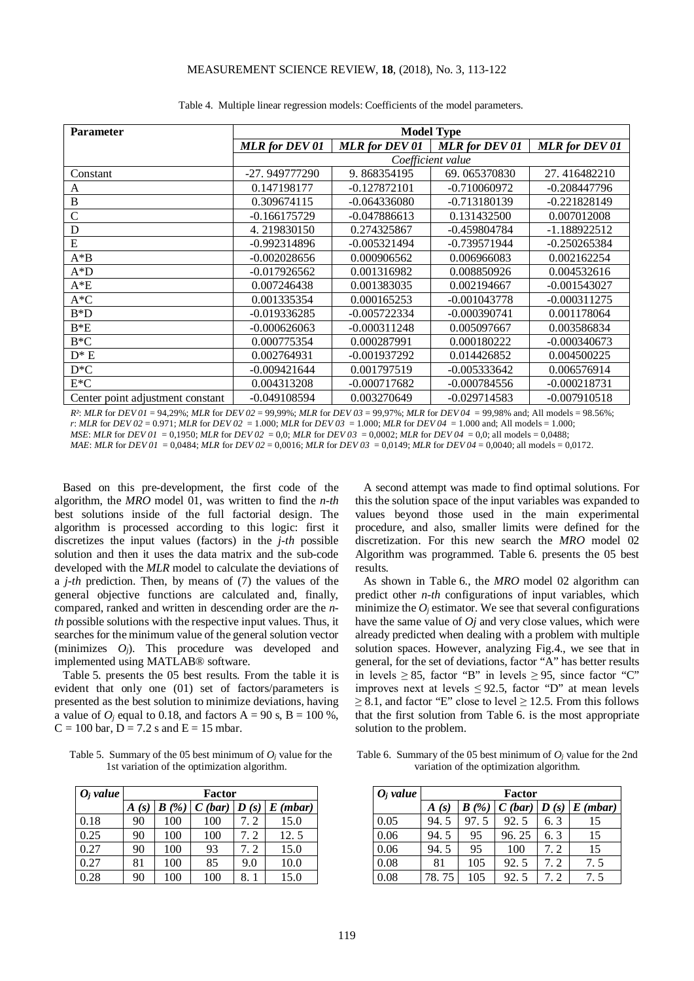#### MEASUREMENT SCIENCE REVIEW, **18**, (2018), No. 3, 113-122

| <b>Model Type</b><br><b>Parameter</b> |                       |                       |                       |                       |  |
|---------------------------------------|-----------------------|-----------------------|-----------------------|-----------------------|--|
|                                       |                       |                       |                       |                       |  |
|                                       | <b>MLR</b> for DEV 01 | <b>MLR</b> for DEV 01 | <b>MLR</b> for DEV 01 | <b>MLR</b> for DEV 01 |  |
|                                       |                       |                       | Coefficient value     |                       |  |
| Constant                              | $-27.949777290$       | 9.868354195           | 69.065370830          | 27.416482210          |  |
| A                                     | 0.147198177           | $-0.127872101$        | $-0.710060972$        | $-0.208447796$        |  |
| $\, {\bf B}$                          | 0.309674115           | $-0.064336080$        | $-0.713180139$        | $-0.221828149$        |  |
| $\mathcal{C}$                         | $-0.166175729$        | $-0.047886613$        | 0.131432500           | 0.007012008           |  |
| D                                     | 4.219830150           | 0.274325867           | $-0.459804784$        | -1.188922512          |  |
| E                                     | $-0.992314896$        | $-0.005321494$        | $-0.739571944$        | $-0.250265384$        |  |
| $A^*B$                                | $-0.002028656$        | 0.000906562           | 0.006966083           | 0.002162254           |  |
| $A^*D$                                | $-0.017926562$        | 0.001316982           | 0.008850926           | 0.004532616           |  |
| $A*E$                                 | 0.007246438           | 0.001383035           | 0.002194667           | $-0.001543027$        |  |
| $A*C$                                 | 0.001335354           | 0.000165253           | $-0.001043778$        | $-0.000311275$        |  |
| $B^*D$                                | $-0.019336285$        | $-0.005722334$        | $-0.000390741$        | 0.001178064           |  |
| $B*E$                                 | $-0.000626063$        | $-0.000311248$        | 0.005097667           | 0.003586834           |  |
| $B*C$                                 | 0.000775354           | 0.000287991           | 0.000180222           | $-0.000340673$        |  |
| $D^* E$                               | 0.002764931           | $-0.001937292$        | 0.014426852           | 0.004500225           |  |
| $D^*C$                                | $-0.009421644$        | 0.001797519           | $-0.005333642$        | 0.006576914           |  |
| $E+C$                                 | 0.004313208           | $-0.000717682$        | $-0.000784556$        | $-0.000218731$        |  |
| Center point adjustment constant      | $-0.049108594$        | 0.003270649           | $-0.029714583$        | $-0.007910518$        |  |

Table 4. Multiple linear regression models: Coefficients of the model parameters.

*R²*: *MLR* for *DEV 01* = 94,29%; *MLR* for *DEV 02* = 99,99%; *MLR* for *DEV 03* = 99,97%; *MLR* for *DEV 04* = 99,98% and; All models = 98.56%; *r*: *MLR* for *DEV 02* = 0.971; *MLR* for *DEV 02* = 1.000; *MLR* for *DEV 03* = 1.000; *MLR* for *DEV 04* = 1.000 and; All models = 1.000; *MSE*: *MLR* for *DEV 01* = 0,1950; *MLR* for *DEV 02* = 0,0; *MLR* for *DEV 03* = 0,0002; *MLR* for *DEV 04* = 0,0; all models = 0,0488; *MAE*: *MLR* for  $DEV0I = 0.0484$ ; *MLR* for  $DEV02 = 0.0016$ ; *MLR* for  $DEV03 = 0.0149$ ; *MLR* for  $DEV04 = 0.0040$ ; all models = 0.0172.

Based on this pre-development, the first code of the algorithm, the *MRO* model 01, was written to find the *n-th* best solutions inside of the full factorial design. The algorithm is processed according to this logic: first it discretizes the input values (factors) in the *j-th* possible solution and then it uses the data matrix and the sub-code developed with the *MLR* model to calculate the deviations of a *j-th* prediction. Then, by means of (7) the values of the general objective functions are calculated and, finally, compared, ranked and written in descending order are the *nth* possible solutions with the respective input values. Thus, it searches for the minimum value of the general solution vector (minimizes *Oj*). This procedure was developed and implemented using MATLAB® software.

Table 5. presents the 05 best results. From the table it is evident that only one (01) set of factors/parameters is presented as the best solution to minimize deviations, having a value of  $O_i$  equal to 0.18, and factors  $A = 90$  s,  $B = 100$ %,  $C = 100$  bar,  $D = 7.2$  s and  $E = 15$  mbar.

Table 5. Summary of the 05 best minimum of *Oj* value for the 1st variation of the optimization algorithm.

| $O_j$ value | <b>Factor</b> |                                                                  |     |      |      |  |  |  |
|-------------|---------------|------------------------------------------------------------------|-----|------|------|--|--|--|
|             | A(s)          | B(%)<br>$C$ (bar)<br>$E$ ( <i>mbar</i> )<br>$\boldsymbol{D}$ (s) |     |      |      |  |  |  |
| 0.18        | 90            | 100                                                              | 100 | 7. 2 | 15.0 |  |  |  |
| 0.25        | 90            | 100                                                              | 100 | 7.2  | 12.5 |  |  |  |
| 0.27        | 90            | 100                                                              | 93  | 7.2  | 15.0 |  |  |  |
| 0.27        | 81            | 100                                                              | 85  | 9.0  | 10.0 |  |  |  |
| 0.28        | 90            | 100                                                              | 100 | 8. 1 | 15.0 |  |  |  |

A second attempt was made to find optimal solutions. For this the solution space of the input variables was expanded to values beyond those used in the main experimental procedure, and also, smaller limits were defined for the discretization. For this new search the *MRO* model 02 Algorithm was programmed. Table 6. presents the 05 best results.

As shown in Table 6., the *MRO* model 02 algorithm can predict other *n-th* configurations of input variables, which minimize the  $O_i$  estimator. We see that several configurations have the same value of *Oj* and very close values, which were already predicted when dealing with a problem with multiple solution spaces. However, analyzing Fig.4., we see that in general, for the set of deviations, factor "A" has better results in levels  $\geq 85$ , factor "B" in levels  $\geq 95$ , since factor "C" improves next at levels  $\leq$  92.5, factor "D" at mean levels  $\geq$  8.1, and factor "E" close to level  $\geq$  12.5. From this follows that the first solution from Table 6. is the most appropriate solution to the problem.

Table 6. Summary of the 05 best minimum of *Oj* value for the 2nd variation of the optimization algorithm.

| $O_j$ value | Factor |      |                 |      |                     |  |
|-------------|--------|------|-----------------|------|---------------------|--|
|             | A(s)   | B(%) | $C(bar)$ $D(s)$ |      | $E$ ( <i>mbar</i> ) |  |
| 0.05        | 94.5   | 97.5 | 92.5            | 6.3  | 15                  |  |
| 0.06        | 94.5   | 95   | 96.25           | 6.3  | 15                  |  |
| 0.06        | 94.5   | 95   | 100             | 7. 2 | 15                  |  |
| 0.08        | 81     | 105  | 92.5            | 7. 2 | 7.5                 |  |
| 0.08        | 78.75  | 105  | 92.5            | 7. 2 | 7.5                 |  |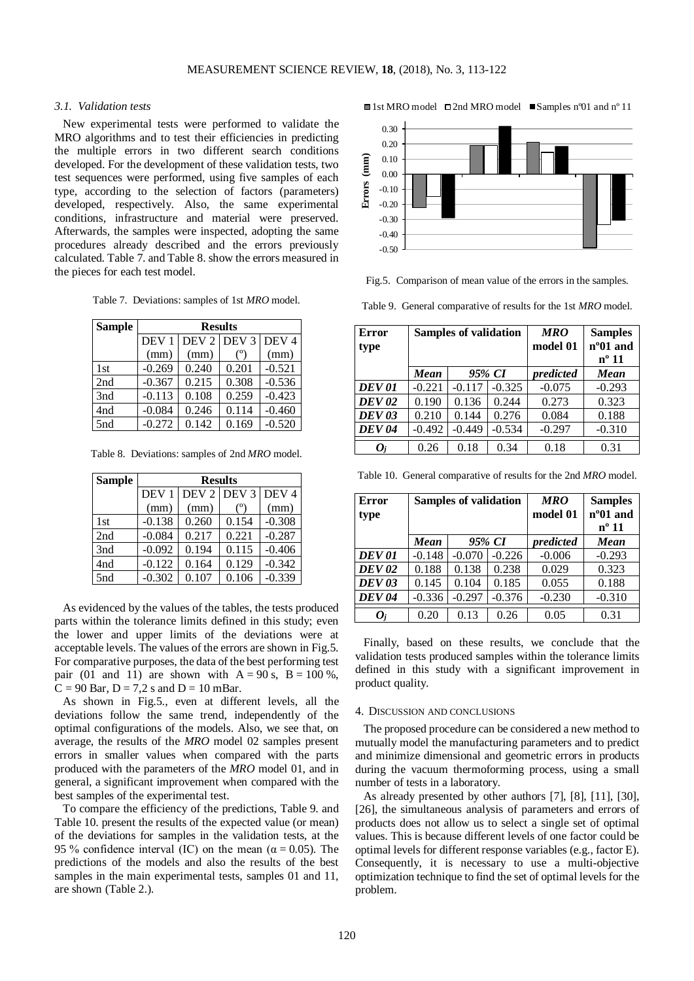## *3.1. Validation tests*

New experimental tests were performed to validate the MRO algorithms and to test their efficiencies in predicting the multiple errors in two different search conditions developed. For the development of these validation tests, two test sequences were performed, using five samples of each type, according to the selection of factors (parameters) developed, respectively. Also, the same experimental conditions, infrastructure and material were preserved. Afterwards, the samples were inspected, adopting the same procedures already described and the errors previously calculated. Table 7. and Table 8. show the errors measured in the pieces for each test model.

Table 7. Deviations: samples of 1st *MRO* model.

| <b>Sample</b>   | <b>Results</b>   |             |       |                  |  |  |  |
|-----------------|------------------|-------------|-------|------------------|--|--|--|
|                 | DEV <sub>1</sub> | DEV 2 DEV 3 |       | DEV <sub>4</sub> |  |  |  |
|                 | (mm)             | (mm)        |       | (mm)             |  |  |  |
| 1st             | $-0.269$         | 0.240       | 0.201 | $-0.521$         |  |  |  |
| 2nd             | $-0.367$         | 0.215       | 0.308 | $-0.536$         |  |  |  |
| 3nd             | $-0.113$         | 0.108       | 0.259 | $-0.423$         |  |  |  |
| 4nd             | $-0.084$         | 0.246       | 0.114 | $-0.460$         |  |  |  |
| 5 <sub>nd</sub> | $-0.272$         | 0.142       | 0.169 | $-0.520$         |  |  |  |

Table 8. Deviations: samples of 2nd *MRO* model.

| <b>Sample</b>   | <b>Results</b>   |       |                   |          |  |  |  |
|-----------------|------------------|-------|-------------------|----------|--|--|--|
|                 | DEV <sub>1</sub> |       | DEV 2 DEV 3 DEV 4 |          |  |  |  |
|                 | (mm)             | (mm)  |                   | (mm)     |  |  |  |
| 1st             | $-0.138$         | 0.260 | 0.154             | $-0.308$ |  |  |  |
| 2nd             | $-0.084$         | 0.217 | 0.221             | $-0.287$ |  |  |  |
| 3nd             | $-0.092$         | 0.194 | 0.115             | $-0.406$ |  |  |  |
| 4nd             | $-0.122$         | 0.164 | 0.129             | $-0.342$ |  |  |  |
| 5 <sub>nd</sub> | $-0.302$         | 0.107 | 0.106             | $-0.339$ |  |  |  |

As evidenced by the values of the tables, the tests produced parts within the tolerance limits defined in this study; even the lower and upper limits of the deviations were at acceptable levels. The values of the errors are shown in Fig.5. For comparative purposes, the data of the best performing test pair (01 and 11) are shown with  $A = 90 s$ ,  $B = 100 %$ ,  $C = 90$  Bar,  $D = 7.2$  s and  $D = 10$  mBar.

As shown in Fig.5., even at different levels, all the deviations follow the same trend, independently of the optimal configurations of the models. Also, we see that, on average, the results of the *MRO* model 02 samples present errors in smaller values when compared with the parts produced with the parameters of the *MRO* model 01, and in general, a significant improvement when compared with the best samples of the experimental test.

To compare the efficiency of the predictions, Table 9. and Table 10. present the results of the expected value (or mean) of the deviations for samples in the validation tests, at the 95 % confidence interval (IC) on the mean ( $\alpha$  = 0.05). The predictions of the models and also the results of the best samples in the main experimental tests, samples 01 and 11, are shown (Table 2.).

■1st MRO model □2nd MRO model ■Samples n°01 and n° 11



Fig.5. Comparison of mean value of the errors in the samples.

Table 9. General comparative of results for the 1st *MRO* model.

| <b>Error</b><br>type | <b>Samples of validation</b> |                      |          | <b>MRO</b><br>model 01 | <b>Samples</b><br>n°01 and<br>$n^{\circ}$ 11 |
|----------------------|------------------------------|----------------------|----------|------------------------|----------------------------------------------|
|                      | Mean                         |                      | 95% CI   | predicted              | Mean                                         |
| <b>DEV</b> 01        | $-0.221$                     | $-0.117$             | $-0.325$ | $-0.075$               | $-0.293$                                     |
| <b>DEV 02</b>        | 0.190                        | 0.136                | 0.244    | 0.273                  | 0.323                                        |
| $DEV$ 03             | 0.210                        | 0.144                | 0.276    | 0.084                  | 0.188                                        |
| <b>DEV 04</b>        | $-0.492$                     | $-0.449$<br>$-0.534$ |          | $-0.297$               | $-0.310$                                     |
| $\bm{O}_i$           | 0.26                         | 0.18                 | 0.34     | 0.18                   | 0.31                                         |

Table 10. General comparative of results for the 2nd *MRO* model.

| Error<br>type     | <b>Samples of validation</b> |                      |          | <b>MRO</b><br>model 01 | <b>Samples</b><br>n°01 and<br>$n^{\circ}$ 11 |
|-------------------|------------------------------|----------------------|----------|------------------------|----------------------------------------------|
|                   | <b>Mean</b>                  |                      | 95% CI   | predicted              | Mean                                         |
| DEV <sub>01</sub> | $-0.148$                     | $-0.070$             | $-0.226$ | $-0.006$               | $-0.293$                                     |
| <b>DEV 02</b>     | 0.188                        | 0.138                | 0.238    | 0.029                  | 0.323                                        |
| $DEV$ 03          | 0.145                        | 0.104                | 0.185    | 0.055                  | 0.188                                        |
| <b>DEV 04</b>     | $-0.336$                     | $-0.297$<br>$-0.376$ |          | $-0.230$               | $-0.310$                                     |
| 0i                | 0.20                         | 0.13                 | 0.26     | 0.05                   | 0.31                                         |

Finally, based on these results, we conclude that the validation tests produced samples within the tolerance limits defined in this study with a significant improvement in product quality.

#### 4. DISCUSSION AND CONCLUSIONS

The proposed procedure can be considered a new method to mutually model the manufacturing parameters and to predict and minimize dimensional and geometric errors in products during the vacuum thermoforming process, using a small number of tests in a laboratory.

As already presented by other authors [7], [8], [11], [30], [26], the simultaneous analysis of parameters and errors of products does not allow us to select a single set of optimal values. This is because different levels of one factor could be optimal levels for different response variables (e.g., factor E). Consequently, it is necessary to use a multi-objective optimization technique to find the set of optimal levels for the problem.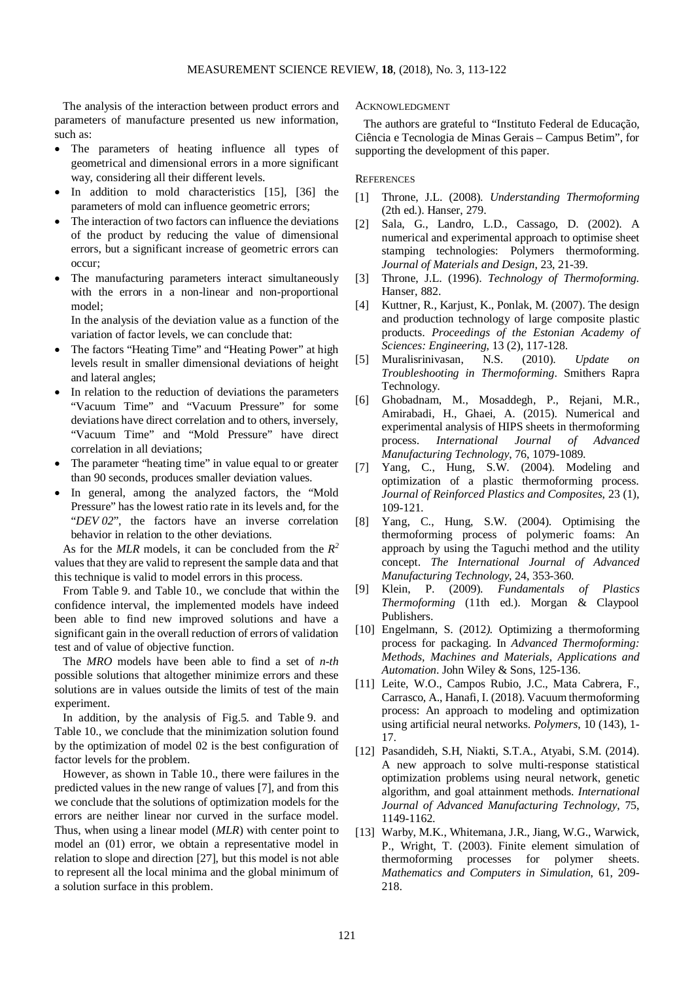The analysis of the interaction between product errors and parameters of manufacture presented us new information, such as:

- The parameters of heating influence all types of geometrical and dimensional errors in a more significant way, considering all their different levels.
- In addition to mold characteristics [15], [36] the parameters of mold can influence geometric errors;
- The interaction of two factors can influence the deviations of the product by reducing the value of dimensional errors, but a significant increase of geometric errors can occur;
- The manufacturing parameters interact simultaneously with the errors in a non-linear and non-proportional model;

In the analysis of the deviation value as a function of the variation of factor levels, we can conclude that:

- The factors "Heating Time" and "Heating Power" at high levels result in smaller dimensional deviations of height and lateral angles;
- In relation to the reduction of deviations the parameters "Vacuum Time" and "Vacuum Pressure" for some deviations have direct correlation and to others, inversely, "Vacuum Time" and "Mold Pressure" have direct correlation in all deviations;
- The parameter "heating time" in value equal to or greater than 90 seconds, produces smaller deviation values.
- In general, among the analyzed factors, the "Mold" Pressure" has the lowest ratio rate in its levels and, for the "*DEV 02*", the factors have an inverse correlation behavior in relation to the other deviations.

As for the *MLR* models, it can be concluded from the *R2* values that they are valid to represent the sample data and that this technique is valid to model errors in this process.

From Table 9. and Table 10., we conclude that within the confidence interval, the implemented models have indeed been able to find new improved solutions and have a significant gain in the overall reduction of errors of validation test and of value of objective function.

The *MRO* models have been able to find a set of *n-th* possible solutions that altogether minimize errors and these solutions are in values outside the limits of test of the main experiment.

In addition, by the analysis of Fig.5. and Table 9. and Table 10., we conclude that the minimization solution found by the optimization of model 02 is the best configuration of factor levels for the problem.

However, as shown in Table 10., there were failures in the predicted values in the new range of values [7], and from this we conclude that the solutions of optimization models for the errors are neither linear nor curved in the surface model. Thus, when using a linear model (*MLR*) with center point to model an (01) error, we obtain a representative model in relation to slope and direction [27], but this model is not able to represent all the local minima and the global minimum of a solution surface in this problem.

## ACKNOWLEDGMENT

The authors are grateful to "Instituto Federal de Educação, Ciência e Tecnologia de Minas Gerais – Campus Betim", for supporting the development of this paper.

#### **REFERENCES**

- [1] Throne, J.L. (2008). *Understanding Thermoforming* (2th ed.). Hanser, 279.
- [2] Sala, G., Landro, L.D., Cassago, D. (2002). A numerical and experimental approach to optimise sheet stamping technologies: Polymers thermoforming. *Journal of Materials and Design*, 23, 21-39.
- [3] Throne, J.L. (1996). *Technology of Thermoforming.*  Hanser, 882.
- [4] Kuttner, R., Karjust, K., Ponlak, M. (2007). The design and production technology of large composite plastic products. *Proceedings of the Estonian Academy of Sciences: Engineering*, 13 (2), 117-128.
- [5] Muralisrinivasan, N.S. (2010). *Update on Troubleshooting in Thermoforming*. Smithers Rapra Technology.
- [6] Ghobadnam, M., Mosaddegh, P., Rejani, M.R., Amirabadi, H., Ghaei, A. (2015). Numerical and experimental analysis of HIPS sheets in thermoforming process. *International Journal of Advanced Manufacturing Technology*, 76, 1079-1089.
- [7] Yang, C., Hung, S.W. (2004). Modeling and optimization of a plastic thermoforming process. *Journal of Reinforced Plastics and Composites*, 23 (1), 109-121.
- [8] Yang, C., Hung, S.W. (2004). Optimising the thermoforming process of polymeric foams: An approach by using the Taguchi method and the utility concept. *The International Journal of Advanced Manufacturing Technology*, 24, 353-360.
- [9] Klein, P. (2009). *Fundamentals of Plastics Thermoforming* (11th ed.). Morgan & Claypool Publishers.
- [10] Engelmann, S. (2012*).* Optimizing a thermoforming process for packaging. In *Advanced Thermoforming: Methods, Machines and Materials, Applications and Automation*. John Wiley & Sons, 125-136.
- [11] Leite, W.O., Campos Rubio, J.C., Mata Cabrera, F., Carrasco, A., Hanafi, I. (2018). Vacuum thermoforming process: An approach to modeling and optimization using artificial neural networks. *Polymers*, 10 (143), 1- 17.
- [12] Pasandideh, S.H, Niakti, S.T.A., Atyabi, S.M. (2014). A new approach to solve multi-response statistical optimization problems using neural network, genetic algorithm, and goal attainment methods. *International Journal of Advanced Manufacturing Technology*, 75, 1149-1162.
- [13] Warby, M.K., Whitemana, J.R., Jiang, W.G., Warwick, P., Wright, T. (2003). Finite element simulation of thermoforming processes for polymer sheets. *Mathematics and Computers in Simulation*, 61, 209- 218.